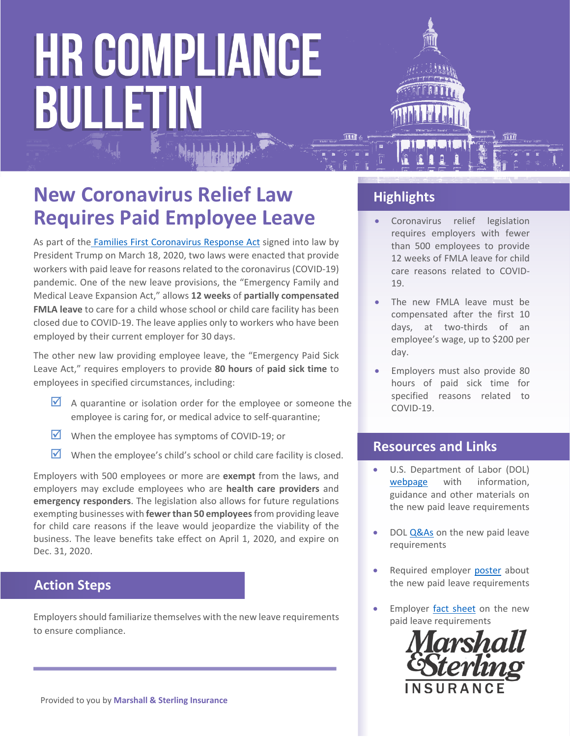### **New Coronavirus Relief Law Requires Paid Employee Leave**

As part of the Families First Coronavirus Response Act signed into law by President Trump on March 18, 2020, two laws were enacted that provide workers with paid leave for reasons related to the coronavirus (COVID‐19) pandemic. One of the new leave provisions, the "Emergency Family and Medical Leave Expansion Act," allows **12 weeks** of **partially compensated FMLA leave** to care for a child whose school or child care facility has been closed due to COVID‐19. The leave applies only to workers who have been employed by their current employer for 30 days.

The other new law providing employee leave, the "Emergency Paid Sick Leave Act," requires employers to provide **80 hours** of **paid sick time** to employees in specified circumstances, including:

- $\blacksquare$  A quarantine or isolation order for the employee or someone the employee is caring for, or medical advice to self‐quarantine;
- When the employee has symptoms of COVID-19; or
- $\blacksquare$  When the employee's child's school or child care facility is closed.

Employers with 500 employees or more are **exempt** from the laws, and employers may exclude employees who are **health care providers** and **emergency responders**. The legislation also allows for future regulations exempting businesses with **fewerthan 50 employees**from providing leave for child care reasons if the leave would jeopardize the viability of the business. The leave benefits take effect on April 1, 2020, and expire on Dec. 31, 2020.

#### **Action Steps**

Employers should familiarize themselves with the new leave requirements to ensure compliance.

### **Highlights**

- Coronavirus relief legislation requires employers with fewer than 500 employees to provide 12 weeks of FMLA leave for child care reasons related to COVID‐ 19.
- The new FMLA leave must be compensated after the first 10 days, at two‐thirds of an employee's wage, up to \$200 per day.
- Employers must also provide 80 hours of paid sick time for specified reasons related to COVID‐19.

#### **Resources and Links**

- U.S. Department of Labor (DOL) webpage with information, guidance and other materials on the new paid leave requirements
- DOL Q&As on the new paid leave requirements
- Required employer poster about the new paid leave requirements
- Employer fact sheet on the new paid leave requirements

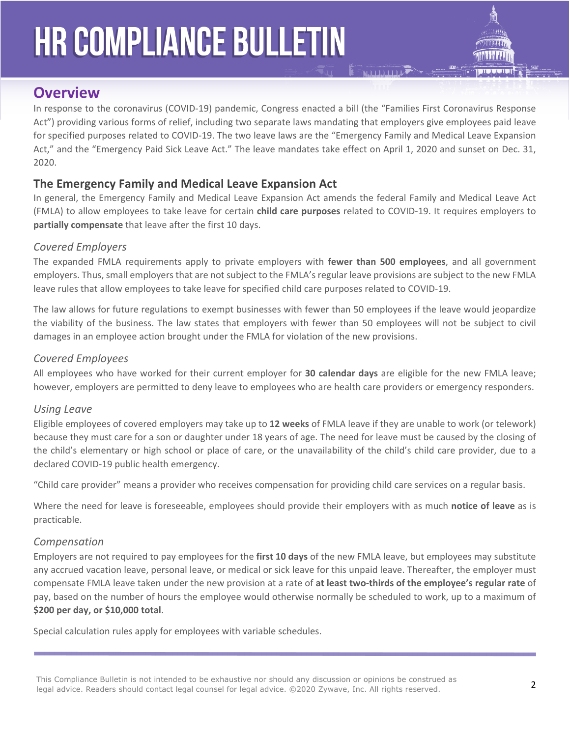

### **Overview**

In response to the coronavirus (COVID-19) pandemic, Congress enacted a bill (the "Families First Coronavirus Response Act") providing various forms of relief, including two separate laws mandating that employers give employees paid leave for specified purposes related to COVID‐19. The two leave laws are the "Emergency Family and Medical Leave Expansion Act," and the "Emergency Paid Sick Leave Act." The leave mandates take effect on April 1, 2020 and sunset on Dec. 31, 2020.

#### **The Emergency Family and Medical Leave Expansion Act**

In general, the Emergency Family and Medical Leave Expansion Act amends the federal Family and Medical Leave Act (FMLA) to allow employees to take leave for certain **child care purposes** related to COVID‐19. It requires employers to **partially compensate** that leave after the first 10 days.

#### *Covered Employers*

The expanded FMLA requirements apply to private employers with **fewer than 500 employees**, and all government employers. Thus, small employers that are not subject to the FMLA's regular leave provisions are subject to the new FMLA leave rules that allow employees to take leave for specified child care purposes related to COVID‐19.

The law allows for future regulations to exempt businesses with fewer than 50 employees if the leave would jeopardize the viability of the business. The law states that employers with fewer than 50 employees will not be subject to civil damages in an employee action brought under the FMLA for violation of the new provisions.

#### *Covered Employees*

All employees who have worked for their current employer for **30 calendar days** are eligible for the new FMLA leave; however, employers are permitted to deny leave to employees who are health care providers or emergency responders.

#### *Using Leave*

Eligible employees of covered employers may take up to **12 weeks** of FMLA leave if they are unable to work (or telework) because they must care for a son or daughter under 18 years of age. The need for leave must be caused by the closing of the child's elementary or high school or place of care, or the unavailability of the child's child care provider, due to a declared COVID‐19 public health emergency.

"Child care provider" means a provider who receives compensation for providing child care services on a regular basis.

Where the need for leave is foreseeable, employees should provide their employers with as much **notice of leave** as is practicable.

#### *Compensation*

Employers are not required to pay employees for the **first 10 days** of the new FMLA leave, but employees may substitute any accrued vacation leave, personal leave, or medical or sick leave for this unpaid leave. Thereafter, the employer must compensate FMLA leave taken under the new provision at a rate of **at least two‐thirds of the employee's regular rate** of pay, based on the number of hours the employee would otherwise normally be scheduled to work, up to a maximum of **\$200 per day, or \$10,000 total**.

Special calculation rules apply for employees with variable schedules.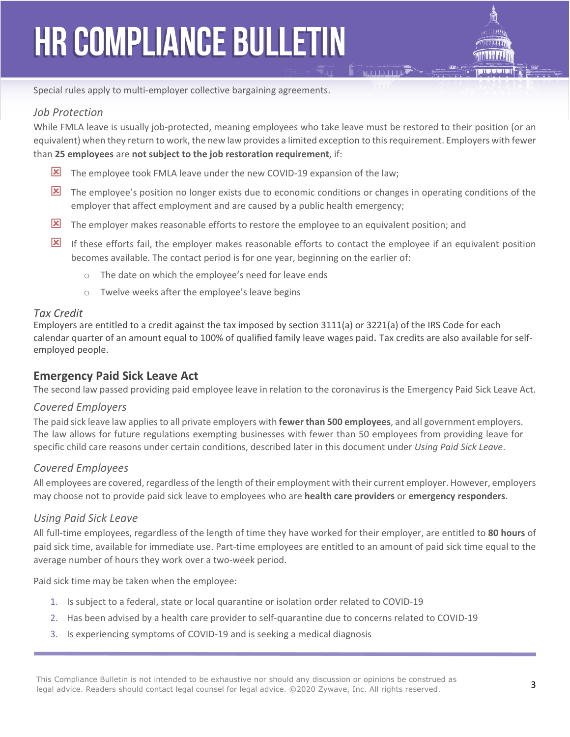

Special rules apply to multi-employer collective bargaining agreements.

#### *Job Protection*

While FMLA leave is usually job-protected, meaning employees who take leave must be restored to their position (or an equivalent) when they return to work, the new law provides a limited exception to thisrequirement. Employers with fewer than **25 employees** are **not subject to the job restoration requirement**, if:

- The employee took FMLA leave under the new COVID-19 expansion of the law;
- The employee's position no longer exists due to economic conditions or changes in operating conditions of the employer that affect employment and are caused by a public health emergency;
- The employer makes reasonable efforts to restore the employee to an equivalent position; and
- If these efforts fail, the employer makes reasonable efforts to contact the employee if an equivalent position becomes available. The contact period is for one year, beginning on the earlier of:
	- o The date on which the employee's need for leave ends
	- o Twelve weeks after the employee's leave begins

#### *Tax Credit*

Employers are entitled to a credit against the tax imposed by section 3111(a) or 3221(a) of the IRS Code for each calendar quarter of an amount equal to 100% of qualified family leave wages paid. Tax credits are also available for self‐ employed people.

#### **Emergency Paid Sick Leave Act**

The second law passed providing paid employee leave in relation to the coronavirus is the Emergency Paid Sick Leave Act.

#### *Covered Employers*

The paid sick leave law appliesto all private employers with **fewer than 500 employees**, and all government employers. The law allows for future regulations exempting businesses with fewer than 50 employees from providing leave for specific child care reasons under certain conditions, described later in this document under *Using Paid Sick Leave*.

#### *Covered Employees*

All employees are covered, regardless of the length of their employment with their current employer. However, employers may choose not to provide paid sick leave to employees who are **health care providers** or **emergency responders**.

#### *Using Paid Sick Leave*

All full‐time employees, regardless of the length of time they have worked for their employer, are entitled to **80 hours** of paid sick time, available for immediate use. Part‐time employees are entitled to an amount of paid sick time equal to the average number of hours they work over a two-week period.

Paid sick time may be taken when the employee:

- 1. Is subject to a federal, state or local quarantine or isolation order related to COVID‐19
- 2. Has been advised by a health care provider to self-quarantine due to concerns related to COVID-19
- 3. Is experiencing symptoms of COVID‐19 and is seeking a medical diagnosis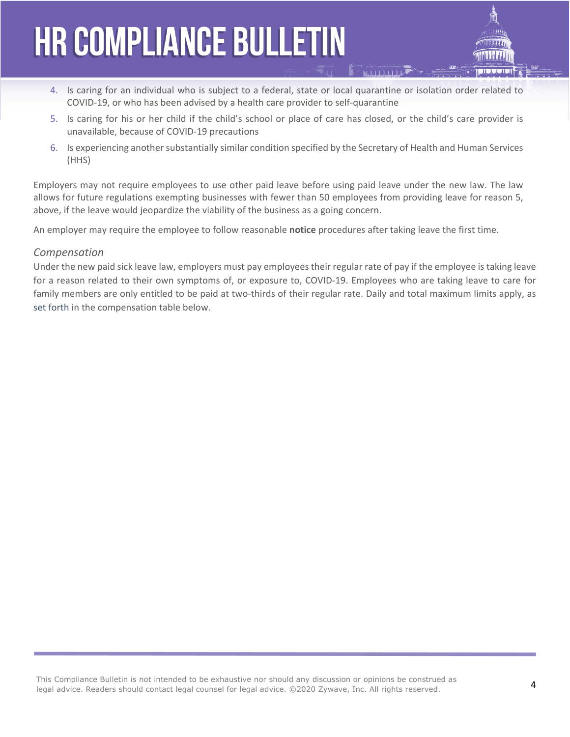- 4. Is caring for an individual who is subject to a federal, state or local quarantine or isolation order related to COVID‐19, or who has been advised by a health care provider to self‐quarantine
- 5. Is caring for his or her child if the child's school or place of care has closed, or the child's care provider is unavailable, because of COVID‐19 precautions
- 6. Is experiencing another substantially similar condition specified by the Secretary of Health and Human Services (HHS)

Employers may not require employees to use other paid leave before using paid leave under the new law. The law allows for future regulations exempting businesses with fewer than 50 employees from providing leave for reason 5, above, if the leave would jeopardize the viability of the business as a going concern.

An employer may require the employee to follow reasonable **notice** procedures after taking leave the first time.

#### *Compensation*

Under the new paid sick leave law, employers must pay employees their regular rate of pay if the employee is taking leave for a reason related to their own symptoms of, or exposure to, COVID-19. Employees who are taking leave to care for family members are only entitled to be paid at two-thirds of their regular rate. Daily and total maximum limits apply, as set forth in the compensation table below.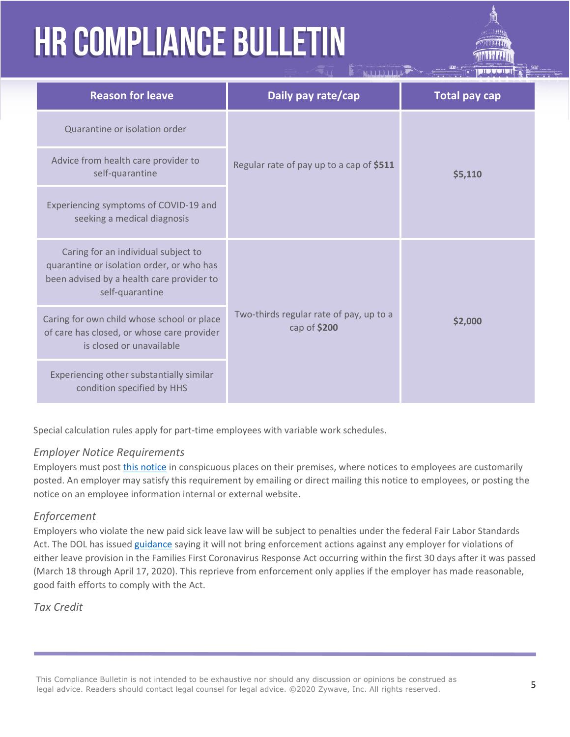| <b>Reason for leave</b>                                                                                                                          | Daily pay rate/cap                                      | <b>Total pay cap</b> |
|--------------------------------------------------------------------------------------------------------------------------------------------------|---------------------------------------------------------|----------------------|
| Quarantine or isolation order                                                                                                                    | Regular rate of pay up to a cap of \$511                | \$5,110              |
| Advice from health care provider to<br>self-quarantine                                                                                           |                                                         |                      |
| Experiencing symptoms of COVID-19 and<br>seeking a medical diagnosis                                                                             |                                                         |                      |
| Caring for an individual subject to<br>quarantine or isolation order, or who has<br>been advised by a health care provider to<br>self-quarantine | Two-thirds regular rate of pay, up to a<br>cap of \$200 | \$2,000              |
| Caring for own child whose school or place<br>of care has closed, or whose care provider<br>is closed or unavailable                             |                                                         |                      |
| Experiencing other substantially similar<br>condition specified by HHS                                                                           |                                                         |                      |

Special calculation rules apply for part‐time employees with variable work schedules.

#### *Employer Notice Requirements*

Employers must post this notice in conspicuous places on their premises, where notices to employees are customarily posted. An employer may satisfy this requirement by emailing or direct mailing this notice to employees, or posting the notice on an employee information internal or external website.

#### *Enforcement*

Employers who violate the new paid sick leave law will be subject to penalties under the federal Fair Labor Standards Act. The DOL has issued guidance saying it will not bring enforcement actions against any employer for violations of either leave provision in the Families First Coronavirus Response Act occurring within the first 30 days after it was passed (March 18 through April 17, 2020). This reprieve from enforcement only applies if the employer has made reasonable, good faith efforts to comply with the Act.

#### *Tax Credit*